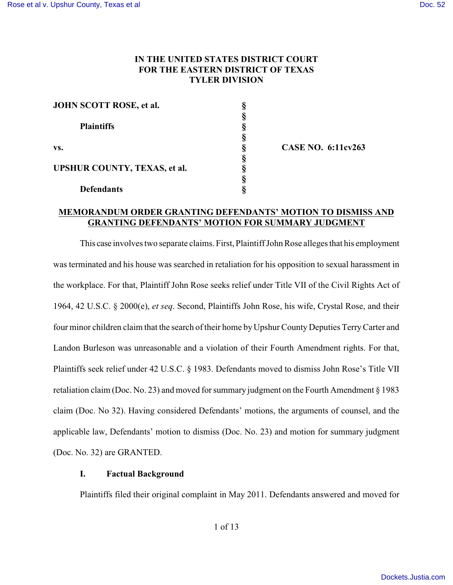# **IN THE UNITED STATES DISTRICT COURT FOR THE EASTERN DISTRICT OF TEXAS TYLER DIVISION**

| JOHN SCOTT ROSE, et al.                                         |  |
|-----------------------------------------------------------------|--|
| <b>Plaintiffs</b><br>VS.<br><b>UPSHUR COUNTY, TEXAS, et al.</b> |  |
|                                                                 |  |
|                                                                 |  |
|                                                                 |  |
|                                                                 |  |
|                                                                 |  |
|                                                                 |  |
| <b>Defendants</b>                                               |  |

**CASE NO. 6:11cv263**

# **MEMORANDUM ORDER GRANTING DEFENDANTS' MOTION TO DISMISS AND GRANTING DEFENDANTS' MOTION FOR SUMMARY JUDGMENT**

This case involves two separate claims. First, Plaintiff John Rose alleges that his employment was terminated and his house was searched in retaliation for his opposition to sexual harassment in the workplace. For that, Plaintiff John Rose seeks relief under Title VII of the Civil Rights Act of 1964, 42 U.S.C. § 2000(e), *et seq*. Second, Plaintiffs John Rose, his wife, Crystal Rose, and their four minor children claim that the search of their home by Upshur County Deputies TerryCarter and Landon Burleson was unreasonable and a violation of their Fourth Amendment rights. For that, Plaintiffs seek relief under 42 U.S.C. § 1983. Defendants moved to dismiss John Rose's Title VII retaliation claim (Doc. No. 23) and moved for summary judgment on the Fourth Amendment § 1983 claim (Doc. No 32). Having considered Defendants' motions, the arguments of counsel, and the applicable law, Defendants' motion to dismiss (Doc. No. 23) and motion for summary judgment (Doc. No. 32) are GRANTED.

## **I. Factual Background**

Plaintiffs filed their original complaint in May 2011. Defendants answered and moved for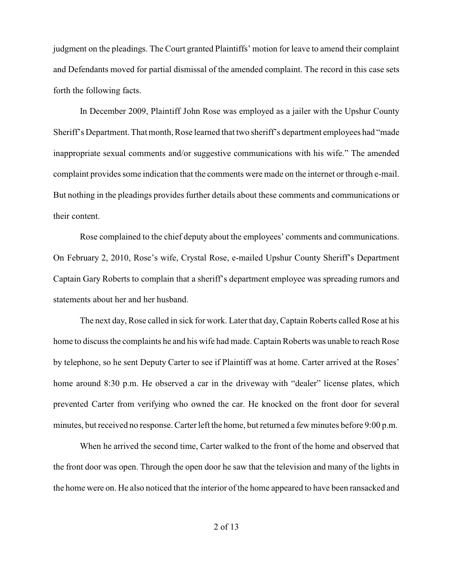judgment on the pleadings. The Court granted Plaintiffs' motion for leave to amend their complaint and Defendants moved for partial dismissal of the amended complaint. The record in this case sets forth the following facts.

In December 2009, Plaintiff John Rose was employed as a jailer with the Upshur County Sheriff's Department. That month, Rose learned that two sheriff's department employees had "made inappropriate sexual comments and/or suggestive communications with his wife." The amended complaint provides some indication that the comments were made on the internet or through e-mail. But nothing in the pleadings provides further details about these comments and communications or their content.

Rose complained to the chief deputy about the employees' comments and communications. On February 2, 2010, Rose's wife, Crystal Rose, e-mailed Upshur County Sheriff's Department Captain Gary Roberts to complain that a sheriff's department employee was spreading rumors and statements about her and her husband.

The next day, Rose called in sick for work. Later that day, Captain Roberts called Rose at his home to discuss the complaints he and his wife had made. Captain Roberts was unable to reach Rose by telephone, so he sent Deputy Carter to see if Plaintiff was at home. Carter arrived at the Roses' home around 8:30 p.m. He observed a car in the driveway with "dealer" license plates, which prevented Carter from verifying who owned the car. He knocked on the front door for several minutes, but received no response. Carter left the home, but returned a few minutes before 9:00 p.m.

When he arrived the second time, Carter walked to the front of the home and observed that the front door was open. Through the open door he saw that the television and many of the lights in the home were on. He also noticed that the interior of the home appeared to have been ransacked and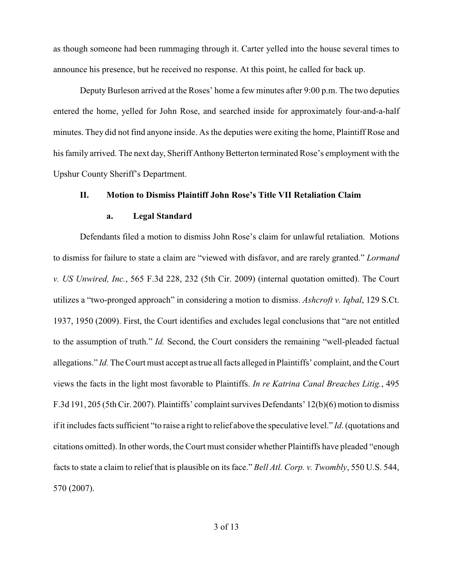as though someone had been rummaging through it. Carter yelled into the house several times to announce his presence, but he received no response. At this point, he called for back up.

Deputy Burleson arrived at the Roses' home a few minutes after 9:00 p.m. The two deputies entered the home, yelled for John Rose, and searched inside for approximately four-and-a-half minutes. They did not find anyone inside. As the deputies were exiting the home, Plaintiff Rose and his family arrived. The next day, Sheriff Anthony Betterton terminated Rose's employment with the Upshur County Sheriff's Department.

# **II. Motion to Dismiss Plaintiff John Rose's Title VII Retaliation Claim**

#### **a. Legal Standard**

Defendants filed a motion to dismiss John Rose's claim for unlawful retaliation. Motions to dismiss for failure to state a claim are "viewed with disfavor, and are rarely granted." *Lormand v. US Unwired, Inc.*, 565 F.3d 228, 232 (5th Cir. 2009) (internal quotation omitted). The Court utilizes a "two-pronged approach" in considering a motion to dismiss. *Ashcroft v. Iqbal*, 129 S.Ct. 1937, 1950 (2009). First, the Court identifies and excludes legal conclusions that "are not entitled to the assumption of truth." *Id.* Second, the Court considers the remaining "well-pleaded factual allegations." *Id.* The Court must accept as true all facts alleged in Plaintiffs' complaint, and the Court views the facts in the light most favorable to Plaintiffs. *In re Katrina Canal Breaches Litig.*, 495 F.3d 191, 205 (5th Cir. 2007). Plaintiffs' complaint survives Defendants' 12(b)(6) motion to dismiss if it includes facts sufficient "to raise a right to relief above the speculative level." *Id*. (quotations and citations omitted). In other words, the Court must consider whether Plaintiffs have pleaded "enough facts to state a claim to relief that is plausible on its face." *Bell Atl. Corp. v. Twombly*, 550 U.S. 544, 570 (2007).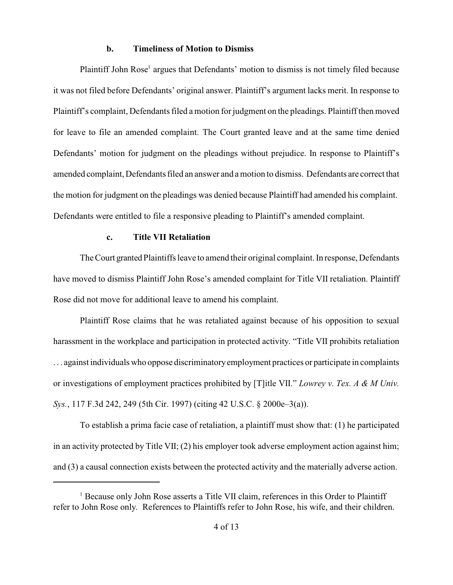## **b. Timeliness of Motion to Dismiss**

Plaintiff John Rose<sup>1</sup> argues that Defendants' motion to dismiss is not timely filed because it was not filed before Defendants' original answer. Plaintiff's argument lacks merit. In response to Plaintiff's complaint, Defendants filed a motion for judgment on the pleadings. Plaintiff then moved for leave to file an amended complaint. The Court granted leave and at the same time denied Defendants' motion for judgment on the pleadings without prejudice. In response to Plaintiff's amended complaint, Defendants filed an answer and a motion to dismiss. Defendants are correct that the motion for judgment on the pleadings was denied because Plaintiff had amended his complaint. Defendants were entitled to file a responsive pleading to Plaintiff's amended complaint.

# **c. Title VII Retaliation**

The Court granted Plaintiffs leave to amend their original complaint. In response, Defendants have moved to dismiss Plaintiff John Rose's amended complaint for Title VII retaliation. Plaintiff Rose did not move for additional leave to amend his complaint.

Plaintiff Rose claims that he was retaliated against because of his opposition to sexual harassment in the workplace and participation in protected activity. "Title VII prohibits retaliation . . . against individuals who oppose discriminatoryemployment practices or participate in complaints or investigations of employment practices prohibited by [T]itle VII." *Lowrey v. Tex. A & M Univ. Sys.*, 117 F.3d 242, 249 (5th Cir. 1997) (citing 42 U.S.C. § 2000e–3(a)).

To establish a prima facie case of retaliation, a plaintiff must show that: (1) he participated in an activity protected by Title VII; (2) his employer took adverse employment action against him; and (3) a causal connection exists between the protected activity and the materially adverse action.

<sup>&</sup>lt;sup>1</sup> Because only John Rose asserts a Title VII claim, references in this Order to Plaintiff refer to John Rose only. References to Plaintiffs refer to John Rose, his wife, and their children.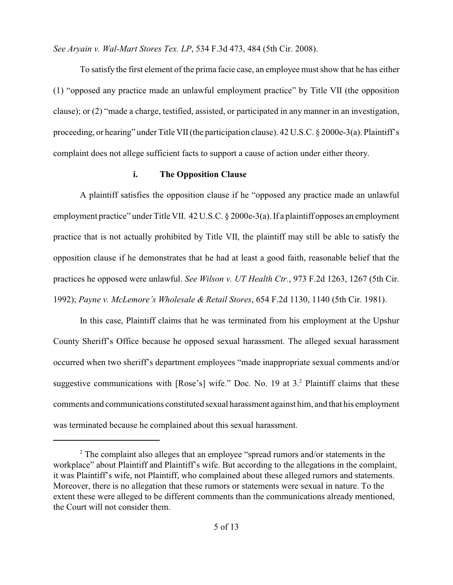*See Aryain v. Wal-Mart Stores Tex. LP*, 534 F.3d 473, 484 (5th Cir. 2008).

To satisfy the first element of the prima facie case, an employee must show that he has either (1) "opposed any practice made an unlawful employment practice" by Title VII (the opposition clause); or (2) "made a charge, testified, assisted, or participated in any manner in an investigation, proceeding, or hearing" under Title VII(the participation clause). 42 U.S.C. § 2000e-3(a). Plaintiff's complaint does not allege sufficient facts to support a cause of action under either theory.

## **i. The Opposition Clause**

A plaintiff satisfies the opposition clause if he "opposed any practice made an unlawful employment practice" under Title VII. 42 U.S.C. § 2000e-3(a). If a plaintiff opposes an employment practice that is not actually prohibited by Title VII, the plaintiff may still be able to satisfy the opposition clause if he demonstrates that he had at least a good faith, reasonable belief that the practices he opposed were unlawful. *See Wilson v. UT Health Ctr.*, 973 F.2d 1263, 1267 (5th Cir. 1992); *Payne v. McLemore's Wholesale & Retail Stores*, 654 F.2d 1130, 1140 (5th Cir. 1981).

In this case, Plaintiff claims that he was terminated from his employment at the Upshur County Sheriff's Office because he opposed sexual harassment. The alleged sexual harassment occurred when two sheriff's department employees "made inappropriate sexual comments and/or suggestive communications with  $[Rose's]$  wife." Doc. No. 19 at  $3<sup>2</sup>$  Plaintiff claims that these comments and communications constituted sexual harassment against him, and that his employment was terminated because he complained about this sexual harassment.

 $2$ . The complaint also alleges that an employee "spread rumors and/or statements in the workplace" about Plaintiff and Plaintiff's wife. But according to the allegations in the complaint, it was Plaintiff's wife, not Plaintiff, who complained about these alleged rumors and statements. Moreover, there is no allegation that these rumors or statements were sexual in nature. To the extent these were alleged to be different comments than the communications already mentioned, the Court will not consider them.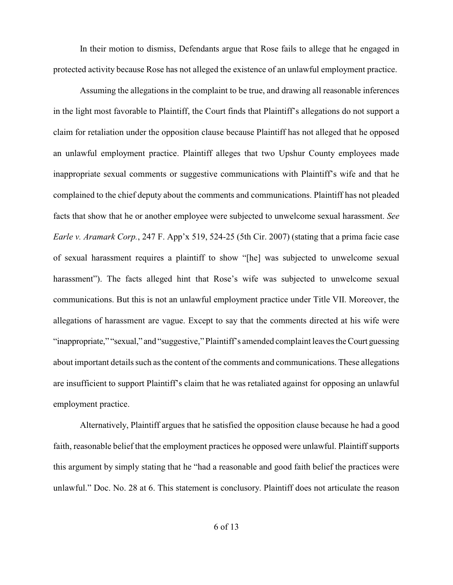In their motion to dismiss, Defendants argue that Rose fails to allege that he engaged in protected activity because Rose has not alleged the existence of an unlawful employment practice.

Assuming the allegations in the complaint to be true, and drawing all reasonable inferences in the light most favorable to Plaintiff, the Court finds that Plaintiff's allegations do not support a claim for retaliation under the opposition clause because Plaintiff has not alleged that he opposed an unlawful employment practice. Plaintiff alleges that two Upshur County employees made inappropriate sexual comments or suggestive communications with Plaintiff's wife and that he complained to the chief deputy about the comments and communications. Plaintiff has not pleaded facts that show that he or another employee were subjected to unwelcome sexual harassment. *See Earle v. Aramark Corp.*, 247 F. App'x 519, 524-25 (5th Cir. 2007) (stating that a prima facie case of sexual harassment requires a plaintiff to show "[he] was subjected to unwelcome sexual harassment"). The facts alleged hint that Rose's wife was subjected to unwelcome sexual communications. But this is not an unlawful employment practice under Title VII. Moreover, the allegations of harassment are vague. Except to say that the comments directed at his wife were "inappropriate," "sexual," and "suggestive," Plaintiff's amended complaint leaves the Court guessing about important details such as the content of the comments and communications. These allegations are insufficient to support Plaintiff's claim that he was retaliated against for opposing an unlawful employment practice.

Alternatively, Plaintiff argues that he satisfied the opposition clause because he had a good faith, reasonable belief that the employment practices he opposed were unlawful. Plaintiff supports this argument by simply stating that he "had a reasonable and good faith belief the practices were unlawful." Doc. No. 28 at 6. This statement is conclusory. Plaintiff does not articulate the reason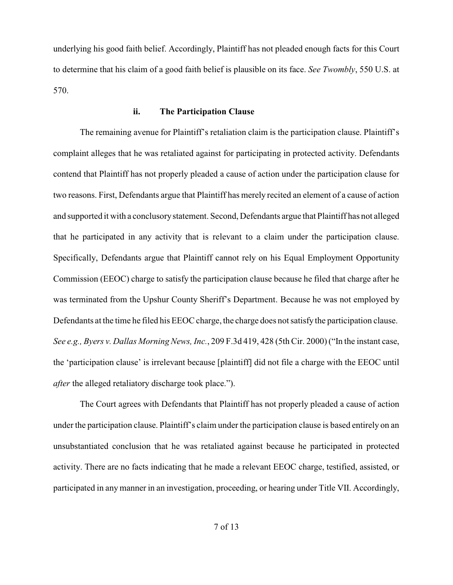underlying his good faith belief. Accordingly, Plaintiff has not pleaded enough facts for this Court to determine that his claim of a good faith belief is plausible on its face. *See Twombly*, 550 U.S. at 570.

## **ii. The Participation Clause**

The remaining avenue for Plaintiff's retaliation claim is the participation clause. Plaintiff's complaint alleges that he was retaliated against for participating in protected activity. Defendants contend that Plaintiff has not properly pleaded a cause of action under the participation clause for two reasons. First, Defendants argue that Plaintiff has merely recited an element of a cause of action and supported it with a conclusorystatement. Second, Defendants argue that Plaintiff has not alleged that he participated in any activity that is relevant to a claim under the participation clause. Specifically, Defendants argue that Plaintiff cannot rely on his Equal Employment Opportunity Commission (EEOC) charge to satisfy the participation clause because he filed that charge after he was terminated from the Upshur County Sheriff's Department. Because he was not employed by Defendants at the time he filed his EEOC charge, the charge does not satisfy the participation clause. *See e.g., Byers v. Dallas Morning News, Inc.*, 209 F.3d 419, 428 (5th Cir. 2000) ("In the instant case, the 'participation clause' is irrelevant because [plaintiff] did not file a charge with the EEOC until *after* the alleged retaliatory discharge took place.").

The Court agrees with Defendants that Plaintiff has not properly pleaded a cause of action under the participation clause. Plaintiff's claim under the participation clause is based entirely on an unsubstantiated conclusion that he was retaliated against because he participated in protected activity. There are no facts indicating that he made a relevant EEOC charge, testified, assisted, or participated in any manner in an investigation, proceeding, or hearing under Title VII. Accordingly,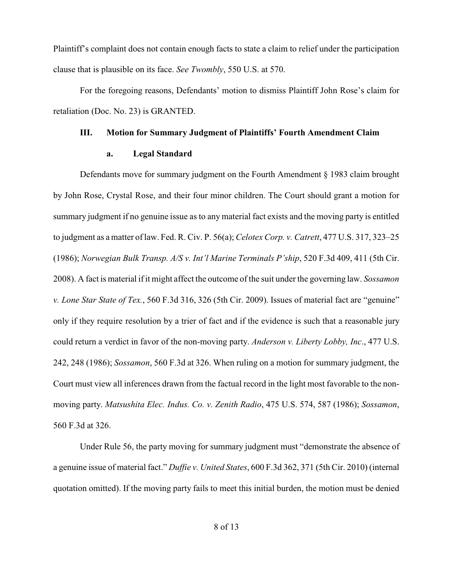Plaintiff's complaint does not contain enough facts to state a claim to relief under the participation clause that is plausible on its face. *See Twombly*, 550 U.S. at 570.

For the foregoing reasons, Defendants' motion to dismiss Plaintiff John Rose's claim for retaliation (Doc. No. 23) is GRANTED.

### **III. Motion for Summary Judgment of Plaintiffs' Fourth Amendment Claim**

#### **a. Legal Standard**

Defendants move for summary judgment on the Fourth Amendment § 1983 claim brought by John Rose, Crystal Rose, and their four minor children. The Court should grant a motion for summary judgment if no genuine issue as to any material fact exists and the moving party is entitled to judgment as a matter of law. Fed. R. Civ. P. 56(a); *Celotex Corp. v. Catrett*, 477 U.S. 317, 323–25 (1986); *Norwegian Bulk Transp. A/S v. Int'l Marine Terminals P'ship*, 520 F.3d 409, 411 (5th Cir. 2008). A fact is material if it might affect the outcome of the suit under the governing law. *Sossamon v. Lone Star State of Tex.*, 560 F.3d 316, 326 (5th Cir. 2009). Issues of material fact are "genuine" only if they require resolution by a trier of fact and if the evidence is such that a reasonable jury could return a verdict in favor of the non-moving party. *Anderson v. Liberty Lobby, Inc*., 477 U.S. 242, 248 (1986); *Sossamon*, 560 F.3d at 326. When ruling on a motion for summary judgment, the Court must view all inferences drawn from the factual record in the light most favorable to the nonmoving party. *Matsushita Elec. Indus. Co. v. Zenith Radio*, 475 U.S. 574, 587 (1986); *Sossamon*, 560 F.3d at 326.

Under Rule 56, the party moving for summary judgment must "demonstrate the absence of a genuine issue of material fact." *Duffie v. United States*, 600 F.3d 362, 371 (5th Cir. 2010) (internal quotation omitted). If the moving party fails to meet this initial burden, the motion must be denied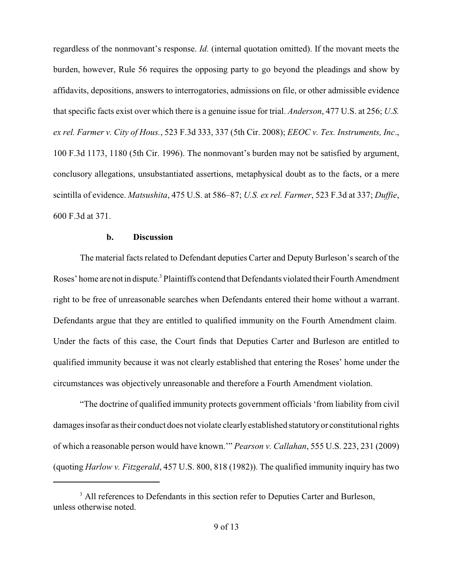regardless of the nonmovant's response. *Id.* (internal quotation omitted). If the movant meets the burden, however, Rule 56 requires the opposing party to go beyond the pleadings and show by affidavits, depositions, answers to interrogatories, admissions on file, or other admissible evidence that specific facts exist over which there is a genuine issue for trial. *Anderson*, 477 U.S. at 256; *U.S. ex rel. Farmer v. City of Hous.*, 523 F.3d 333, 337 (5th Cir. 2008); *EEOC v. Tex. Instruments, Inc*., 100 F.3d 1173, 1180 (5th Cir. 1996). The nonmovant's burden may not be satisfied by argument, conclusory allegations, unsubstantiated assertions, metaphysical doubt as to the facts, or a mere scintilla of evidence. *Matsushita*, 475 U.S. at 586–87; *U.S. ex rel. Farmer*, 523 F.3d at 337; *Duffie*, 600 F.3d at 371.

# **b. Discussion**

The material facts related to Defendant deputies Carter and Deputy Burleson's search of the Roses' home are not in dispute.<sup>3</sup> Plaintiffs contend that Defendants violated their Fourth Amendment right to be free of unreasonable searches when Defendants entered their home without a warrant. Defendants argue that they are entitled to qualified immunity on the Fourth Amendment claim. Under the facts of this case, the Court finds that Deputies Carter and Burleson are entitled to qualified immunity because it was not clearly established that entering the Roses' home under the circumstances was objectively unreasonable and therefore a Fourth Amendment violation.

"The doctrine of qualified immunity protects government officials 'from liability from civil damages insofar as their conduct does not violate clearlyestablished statutoryor constitutional rights of which a reasonable person would have known.'" *Pearson v. Callahan*, 555 U.S. 223, 231 (2009) (quoting *Harlow v. Fitzgerald*, 457 U.S. 800, 818 (1982)). The qualified immunity inquiry has two

<sup>&</sup>lt;sup>3</sup> All references to Defendants in this section refer to Deputies Carter and Burleson, unless otherwise noted.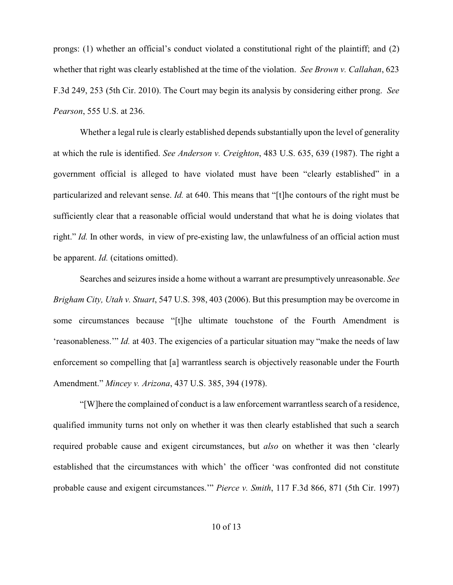prongs: (1) whether an official's conduct violated a constitutional right of the plaintiff; and (2) whether that right was clearly established at the time of the violation. *See Brown v. Callahan*, 623 F.3d 249, 253 (5th Cir. 2010). The Court may begin its analysis by considering either prong. *See Pearson*, 555 U.S. at 236.

Whether a legal rule is clearly established depends substantially upon the level of generality at which the rule is identified. *See Anderson v. Creighton*, 483 U.S. 635, 639 (1987). The right a government official is alleged to have violated must have been "clearly established" in a particularized and relevant sense. *Id.* at 640. This means that "[t]he contours of the right must be sufficiently clear that a reasonable official would understand that what he is doing violates that right." *Id.* In other words, in view of pre-existing law, the unlawfulness of an official action must be apparent. *Id.* (citations omitted).

Searches and seizures inside a home without a warrant are presumptively unreasonable. *See Brigham City, Utah v. Stuart*, 547 U.S. 398, 403 (2006). But this presumption may be overcome in some circumstances because "[t]he ultimate touchstone of the Fourth Amendment is 'reasonableness.'" *Id.* at 403. The exigencies of a particular situation may "make the needs of law enforcement so compelling that [a] warrantless search is objectively reasonable under the Fourth Amendment." *Mincey v. Arizona*, 437 U.S. 385, 394 (1978).

"[W]here the complained of conduct is a law enforcement warrantless search of a residence, qualified immunity turns not only on whether it was then clearly established that such a search required probable cause and exigent circumstances, but *also* on whether it was then 'clearly established that the circumstances with which' the officer 'was confronted did not constitute probable cause and exigent circumstances.'" *Pierce v. Smith*, 117 F.3d 866, 871 (5th Cir. 1997)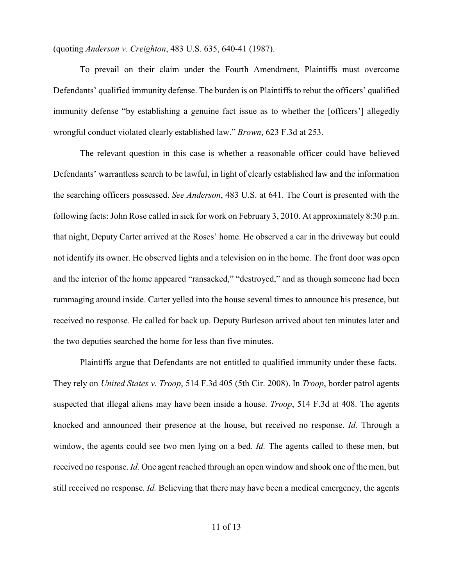(quoting *Anderson v. Creighton*, 483 U.S. 635, 640-41 (1987).

To prevail on their claim under the Fourth Amendment, Plaintiffs must overcome Defendants' qualified immunity defense. The burden is on Plaintiffs to rebut the officers' qualified immunity defense "by establishing a genuine fact issue as to whether the [officers'] allegedly wrongful conduct violated clearly established law." *Brown*, 623 F.3d at 253.

The relevant question in this case is whether a reasonable officer could have believed Defendants' warrantless search to be lawful, in light of clearly established law and the information the searching officers possessed. *See Anderson*, 483 U.S. at 641. The Court is presented with the following facts: John Rose called in sick for work on February 3, 2010. At approximately 8:30 p.m. that night, Deputy Carter arrived at the Roses' home. He observed a car in the driveway but could not identify its owner. He observed lights and a television on in the home. The front door was open and the interior of the home appeared "ransacked," "destroyed," and as though someone had been rummaging around inside. Carter yelled into the house several times to announce his presence, but received no response. He called for back up. Deputy Burleson arrived about ten minutes later and the two deputies searched the home for less than five minutes.

Plaintiffs argue that Defendants are not entitled to qualified immunity under these facts. They rely on *United States v. Troop*, 514 F.3d 405 (5th Cir. 2008). In *Troop*, border patrol agents suspected that illegal aliens may have been inside a house. *Troop*, 514 F.3d at 408. The agents knocked and announced their presence at the house, but received no response. *Id.* Through a window, the agents could see two men lying on a bed. *Id.* The agents called to these men, but received no response. *Id.* One agent reached through an open window and shook one of the men, but still received no response. *Id.* Believing that there may have been a medical emergency, the agents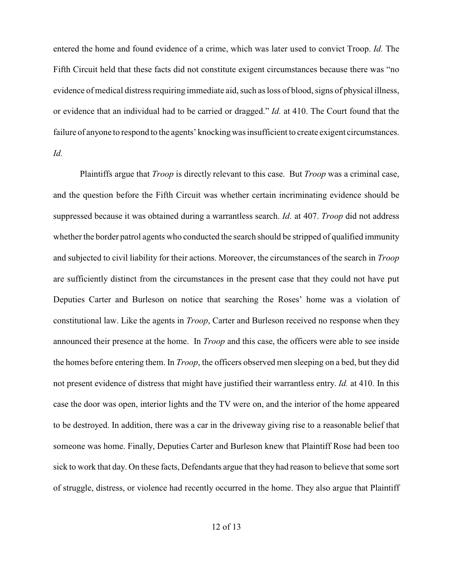entered the home and found evidence of a crime, which was later used to convict Troop. *Id.* The Fifth Circuit held that these facts did not constitute exigent circumstances because there was "no evidence of medical distress requiring immediate aid, such as loss of blood, signs of physical illness, or evidence that an individual had to be carried or dragged." *Id.* at 410. The Court found that the failure of anyone to respond to the agents' knocking was insufficient to create exigent circumstances. *Id.*

Plaintiffs argue that *Troop* is directly relevant to this case. But *Troop* was a criminal case, and the question before the Fifth Circuit was whether certain incriminating evidence should be suppressed because it was obtained during a warrantless search. *Id.* at 407. *Troop* did not address whether the border patrol agents who conducted the search should be stripped of qualified immunity and subjected to civil liability for their actions. Moreover, the circumstances of the search in *Troop* are sufficiently distinct from the circumstances in the present case that they could not have put Deputies Carter and Burleson on notice that searching the Roses' home was a violation of constitutional law. Like the agents in *Troop*, Carter and Burleson received no response when they announced their presence at the home. In *Troop* and this case, the officers were able to see inside the homes before entering them. In *Troop*, the officers observed men sleeping on a bed, but they did not present evidence of distress that might have justified their warrantless entry. *Id.* at 410. In this case the door was open, interior lights and the TV were on, and the interior of the home appeared to be destroyed. In addition, there was a car in the driveway giving rise to a reasonable belief that someone was home. Finally, Deputies Carter and Burleson knew that Plaintiff Rose had been too sick to work that day. On these facts, Defendants argue that they had reason to believe that some sort of struggle, distress, or violence had recently occurred in the home. They also argue that Plaintiff